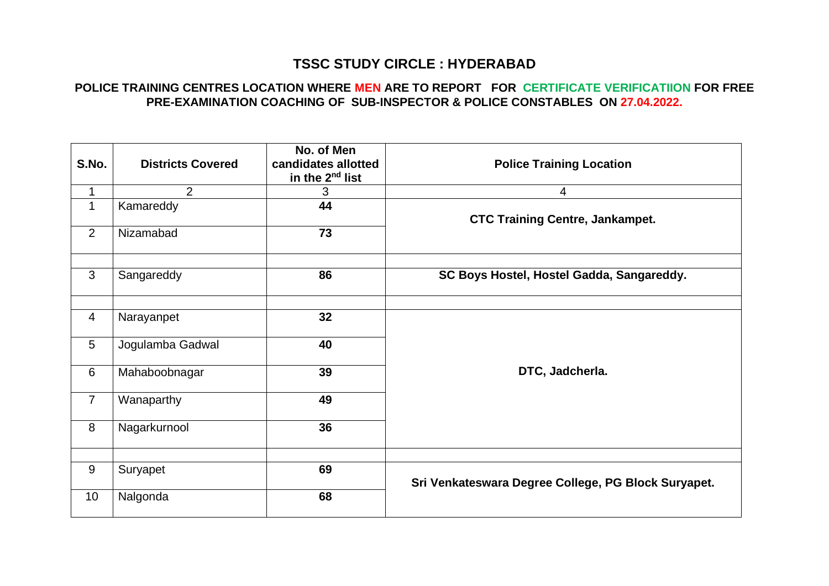## **TSSC STUDY CIRCLE : HYDERABAD**

## **POLICE TRAINING CENTRES LOCATION WHERE MEN ARE TO REPORT FOR CERTIFICATE VERIFICATIION FOR FREE PRE-EXAMINATION COACHING OF SUB-INSPECTOR & POLICE CONSTABLES ON 27.04.2022.**

| S.No.           | <b>Districts Covered</b> | No. of Men<br>candidates allotted<br>in the 2 <sup>nd</sup> list | <b>Police Training Location</b>                     |
|-----------------|--------------------------|------------------------------------------------------------------|-----------------------------------------------------|
| 1               | $\overline{2}$           | 3                                                                | $\overline{4}$                                      |
| $\mathbf{1}$    | Kamareddy                | 44                                                               | <b>CTC Training Centre, Jankampet.</b>              |
| 2               | Nizamabad                | 73                                                               |                                                     |
| $\mathbf{3}$    | Sangareddy               | 86                                                               | SC Boys Hostel, Hostel Gadda, Sangareddy.           |
| $\overline{4}$  | Narayanpet               | 32                                                               |                                                     |
| 5               | Jogulamba Gadwal         | 40                                                               |                                                     |
| 6               | Mahaboobnagar            | 39                                                               | DTC, Jadcherla.                                     |
| $\overline{7}$  | Wanaparthy               | 49                                                               |                                                     |
| 8               | Nagarkurnool             | 36                                                               |                                                     |
| 9               | Suryapet                 | 69                                                               | Sri Venkateswara Degree College, PG Block Suryapet. |
|                 |                          |                                                                  |                                                     |
| 10 <sup>1</sup> | Nalgonda                 | 68                                                               |                                                     |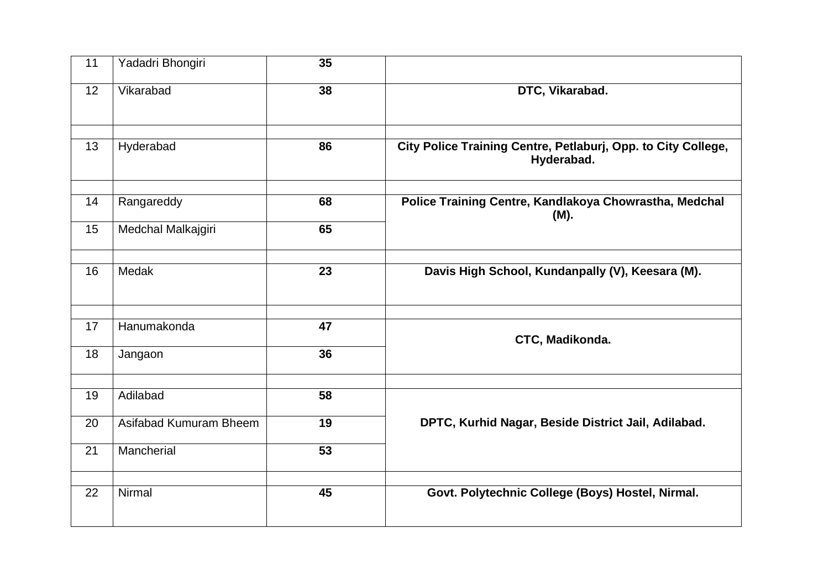| 11 | Yadadri Bhongiri       | 35 |                                                                             |
|----|------------------------|----|-----------------------------------------------------------------------------|
| 12 | Vikarabad              | 38 | DTC, Vikarabad.                                                             |
| 13 | Hyderabad              | 86 | City Police Training Centre, Petlaburj, Opp. to City College,<br>Hyderabad. |
| 14 | Rangareddy             | 68 | Police Training Centre, Kandlakoya Chowrastha, Medchal<br>(M).              |
| 15 | Medchal Malkajgiri     | 65 |                                                                             |
| 16 | Medak                  | 23 | Davis High School, Kundanpally (V), Keesara (M).                            |
| 17 | Hanumakonda            | 47 |                                                                             |
| 18 | Jangaon                | 36 | CTC, Madikonda.                                                             |
| 19 | Adilabad               | 58 |                                                                             |
| 20 | Asifabad Kumuram Bheem | 19 | DPTC, Kurhid Nagar, Beside District Jail, Adilabad.                         |
| 21 | Mancherial             | 53 |                                                                             |
| 22 | Nirmal                 | 45 | Govt. Polytechnic College (Boys) Hostel, Nirmal.                            |